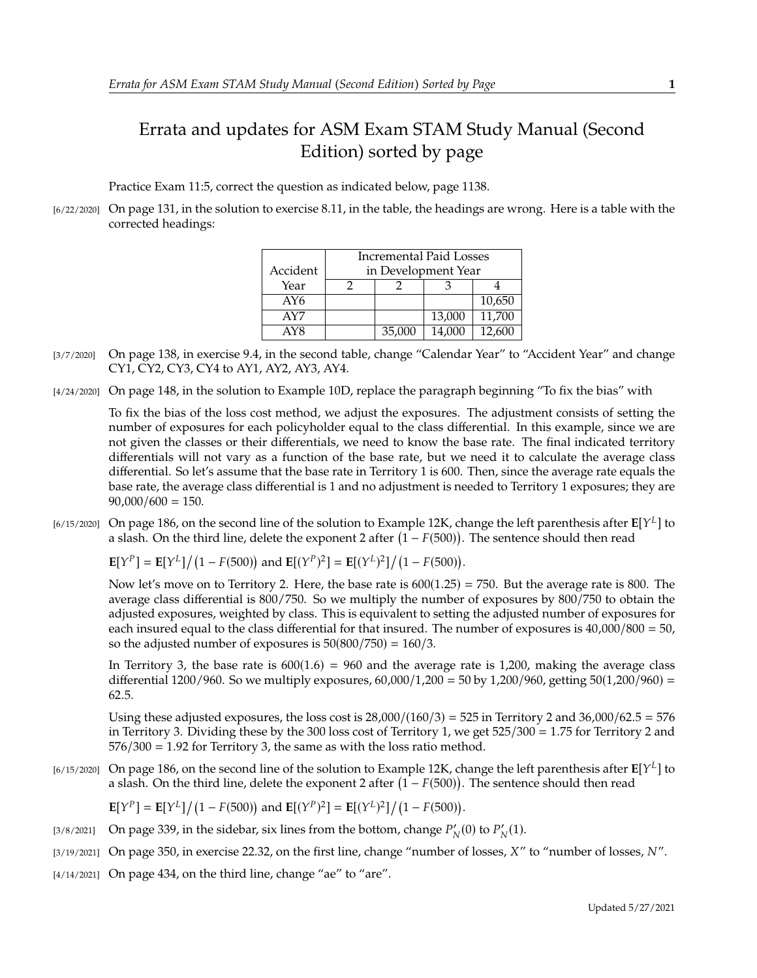## Errata and updates for ASM Exam STAM Study Manual (Second Edition) sorted by page

Practice Exam 11:5, correct the question as indicated below, page 1138.

[6/22/2020] On page 131, in the solution to exercise 8.11, in the table, the headings are wrong. Here is a table with the corrected headings:

|          | <b>Incremental Paid Losses</b> |        |        |        |
|----------|--------------------------------|--------|--------|--------|
| Accident | in Development Year            |        |        |        |
| Year     |                                |        |        |        |
| AY6      |                                |        |        | 10,650 |
| AY7      |                                |        | 13,000 | 11,700 |
| AY8      |                                | 35,000 | 14,000 | 12,600 |

- [3/7/2020] On page 138, in exercise 9.4, in the second table, change "Calendar Year" to "Accident Year" and change CY1, CY2, CY3, CY4 to AY1, AY2, AY3, AY4.
- [4/24/2020] On page 148, in the solution to Example 10D, replace the paragraph beginning "To fix the bias" with

To fix the bias of the loss cost method, we adjust the exposures. The adjustment consists of setting the number of exposures for each policyholder equal to the class differential. In this example, since we are not given the classes or their differentials, we need to know the base rate. The final indicated territory differentials will not vary as a function of the base rate, but we need it to calculate the average class differential. So let's assume that the base rate in Territory 1 is 600. Then, since the average rate equals the base rate, the average class differential is 1 and no adjustment is needed to Territory 1 exposures; they are  $90,000/600 = 150.$ 

[6/15/2020] On page 186, on the second line of the solution to Example 12K, change the left parenthesis after  $\mathbb{E}[Y^L]$  to a slash. On the third line, delete the exponent 2 after  $(1 - E(500))$ . The sentence should then r a slash. On the third line, delete the exponent 2 after  $(1 - F(500))$ . The sentence should then read

 $\mathbf{E}[Y^P] = \mathbf{E}[Y^L]/(1 - F(500))$  and  $\mathbf{E}[(Y^P)^2] = \mathbf{E}[(Y^L)^2]/(1 - F(500)).$ 

Now let's move on to Territory 2. Here, the base rate is  $600(1.25) = 750$ . But the average rate is 800. The average class differential is 800/750. So we multiply the number of exposures by 800/750 to obtain the adjusted exposures, weighted by class. This is equivalent to setting the adjusted number of exposures for each insured equal to the class differential for that insured. The number of exposures is  $40,000/800 = 50$ , so the adjusted number of exposures is  $50(800/750) = 160/3$ .

In Territory 3, the base rate is  $600(1.6) = 960$  and the average rate is 1,200, making the average class differential 1200/960. So we multiply exposures,  $60,000/1,200 = 50$  by 1,200/960, getting  $50(1,200/960) =$ <sup>62</sup>.5.

Using these adjusted exposures, the loss cost is  $28,000/(160/3) = 525$  in Territory 2 and  $36,000/62.5 = 576$ in Territory 3. Dividing these by the 300 loss cost of Territory 1, we get <sup>525</sup>/<sup>300</sup> <sup>=</sup> <sup>1</sup>.<sup>75</sup> for Territory 2 and  $576/300 = 1.92$  for Territory 3, the same as with the loss ratio method.

[6/15/2020] On page 186, on the second line of the solution to Example 12K, change the left parenthesis after  $\mathbb{E}[Y^L]$  to a slash. On the third line, delete the exponent 2 after  $(1 - E(500))$ . The sentence should then r a slash. On the third line, delete the exponent 2 after  $(1 - F(500))$ . The sentence should then read

 $\mathbf{E}[Y^P] = \mathbf{E}[Y^L]/(1 - F(500))$  and  $\mathbf{E}[(Y^P)^2] = \mathbf{E}[(Y^L)^2]/(1 - F(500)).$ 

- [3/8/2021] On page 339, in the sidebar, six lines from the bottom, change  $P'_N(0)$  to  $P'_N(1)$ .
- $[3/19/2021]$  On page 350, in exercise 22.32, on the first line, change "number of losses,  $X''$  to "number of losses,  $N''$ .
- $[4/14/2021]$  On page 434, on the third line, change "ae" to "are".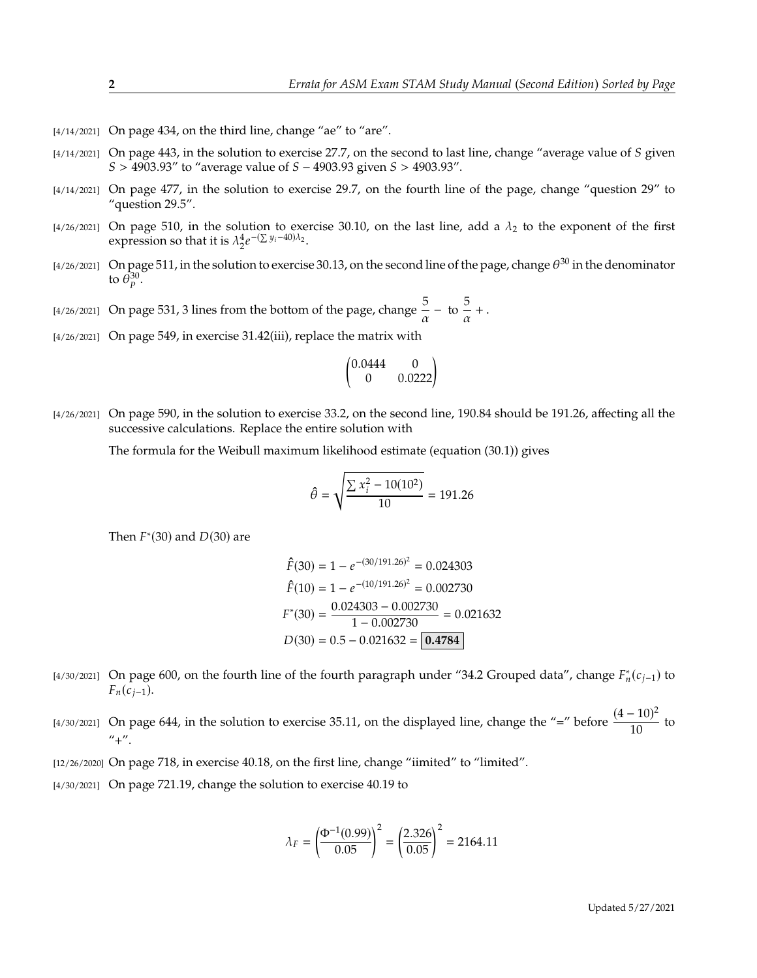- $[4/14/2021]$  On page 434, on the third line, change "ae" to "are".
- $[4/14/2021]$  On page 443, in the solution to exercise 27.7, on the second to last line, change "average value of S given  $S > 4903.93''$  to "average value of  $S - 4903.93$  given  $S > 4903.93''$ .
- [4/14/2021] On page 477, in the solution to exercise 29.7, on the fourth line of the page, change "question 29" to "question 29.5".
- [4/26/2021] On page 510, in the solution to exercise 30.10, on the last line, add a  $\lambda_2$  to the exponent of the first expression so that it is  $\lambda_2^4 e$  $-(\sum y_i - 40)\lambda_2$ .
- [4/26/2021] On page 511, in the solution to exercise 30.13, on the second line of the page, change  $\theta^{30}$  in the denominator to  $\bar{\theta}_p^{30}$ .
- [4/26/2021] On page 531, 3 lines from the bottom of the page, change  $\frac{5}{\alpha}$  to  $\frac{5}{\alpha}$  $\frac{3}{\alpha}$  + .
- [4/26/2021] On page 549, in exercise 31.42(iii), replace the matrix with

$$
\begin{pmatrix} 0.0444 & 0 \\ 0 & 0.0222 \end{pmatrix}
$$

[4/26/2021] On page 590, in the solution to exercise 33.2, on the second line, 190.84 should be 191.26, affecting all the successive calculations. Replace the entire solution with

The formula for the Weibull maximum likelihood estimate (equation (30.1)) gives

$$
\hat{\theta} = \sqrt{\frac{\sum x_i^2 - 10(10^2)}{10}} = 191.26
$$

Then  $F^*(30)$  and  $D(30)$  are

$$
\hat{F}(30) = 1 - e^{-(30/191.26)^2} = 0.024303
$$
  

$$
\hat{F}(10) = 1 - e^{-(10/191.26)^2} = 0.002730
$$
  

$$
F^*(30) = \frac{0.024303 - 0.002730}{1 - 0.002730} = 0.021632
$$
  

$$
D(30) = 0.5 - 0.021632 = \boxed{0.4784}
$$

[4/30/2021] On page 600, on the fourth line of the fourth paragraph under "34.2 Grouped data", change  $F_n^*(c_{j-1})$  to  $F_n(c_{i-1}).$ 

[4/30/2021] On page 644, in the solution to exercise 35.11, on the displayed line, change the "=" before  $\frac{(4-10)^2}{10}$  $\frac{1}{10}$  to  $"+''.$ 

- [12/26/2020] On page 718, in exercise 40.18, on the first line, change "iimited" to "limited".
- [4/30/2021] On page 721.19, change the solution to exercise 40.19 to

$$
\lambda_F = \left(\frac{\Phi^{-1}(0.99)}{0.05}\right)^2 = \left(\frac{2.326}{0.05}\right)^2 = 2164.11
$$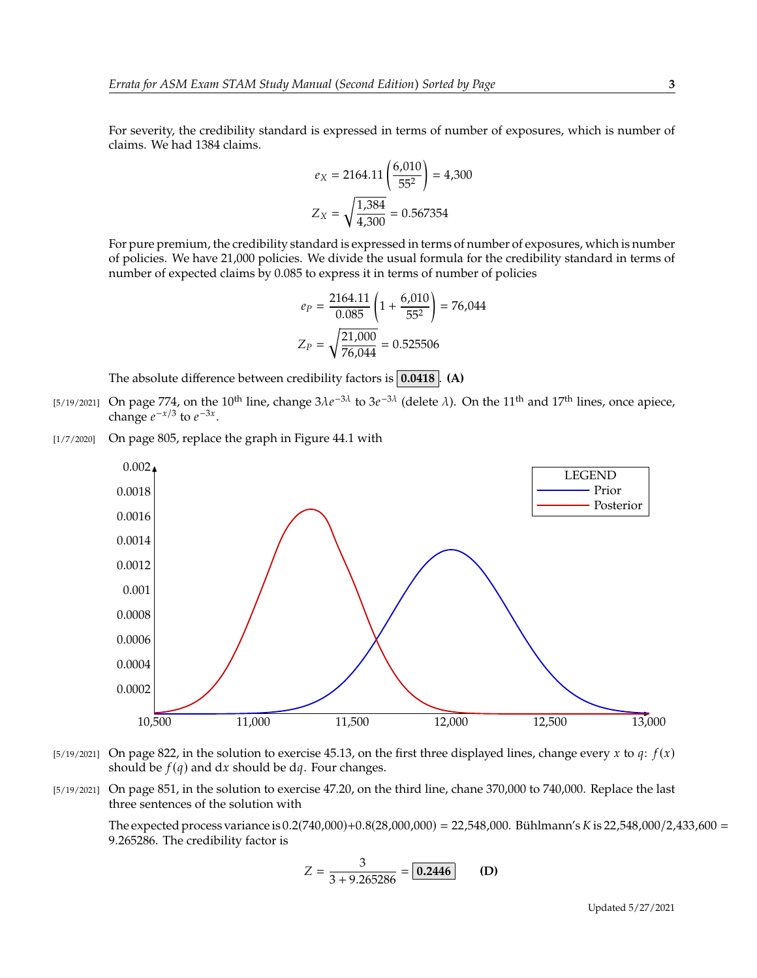For severity, the credibility standard is expressed in terms of number of exposures, which is number of claims. We had 1384 claims.

$$
e_X = 2164.11 \left( \frac{6,010}{55^2} \right) = 4,300
$$

$$
Z_X = \sqrt{\frac{1,384}{4,300}} = 0.567354
$$

For pure premium, the credibility standard is expressed in terms of number of exposures, which is number of policies. We have 21,000 policies. We divide the usual formula for the credibility standard in terms of number of expected claims by 0.085 to express it in terms of number of policies

$$
e_P = \frac{2164.11}{0.085} \left( 1 + \frac{6,010}{55^2} \right) = 76,044
$$

$$
Z_P = \sqrt{\frac{21,000}{76,044}} = 0.525506
$$

The absolute difference between credibility factors is **0.0418** . **(A)**

- [5/19/2021] On page 774, on the 10<sup>th</sup> line, change  $3\lambda e^{-3\lambda}$  to  $3e^{-3\lambda}$  (delete  $\lambda$ ). On the 11<sup>th</sup> and 17<sup>th</sup> lines, once apiece, change  $e^{-x/3}$  to  $e^{-3x}$ change  $e^{-x/3}$  to  $e^{-3x}$ .
- [1/7/2020] On page 805, replace the graph in Figure 44.1 with



- $[5/19/2021]$  On page 822, in the solution to exercise 45.13, on the first three displayed lines, change every x to q:  $f(x)$ should be  $f(q)$  and dx should be dq. Four changes.
- [5/19/2021] On page 851, in the solution to exercise 47.20, on the third line, chane 370,000 to 740,000. Replace the last three sentences of the solution with

The expected process variance is  $0.2(740,000)+0.8(28,000,000) = 22,548,000$ . Bühlmann's K is 22,548,000/2,433,600 = <sup>9</sup>.265286. The credibility factor is

$$
Z = \frac{3}{3 + 9.265286} = \boxed{0.2446}
$$
 (D)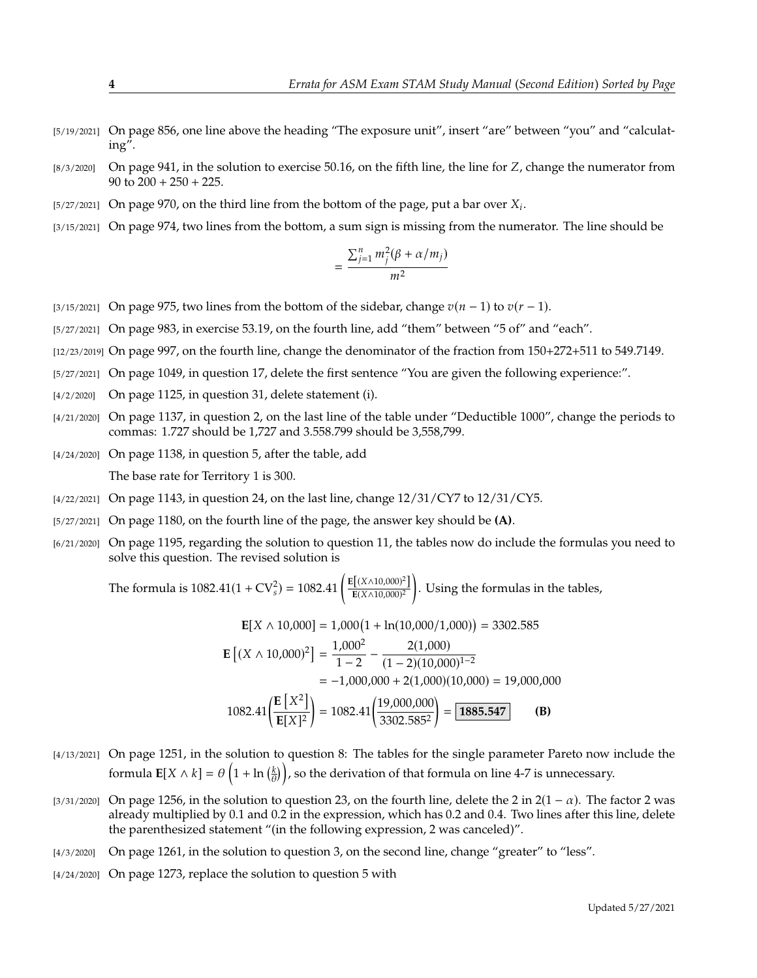- [5/19/2021] On page 856, one line above the heading "The exposure unit", insert "are" between "you" and "calculating".
- $[8/3/2020]$  On page 941, in the solution to exercise 50.16, on the fifth line, the line for Z, change the numerator from 90 to  $200 + 250 + 225$ .
- [5/27/2021] On page 970, on the third line from the bottom of the page, put a bar over  $X_i$ .
- [3/15/2021] On page 974, two lines from the bottom, a sum sign is missing from the numerator. The line should be

$$
=\frac{\sum_{j=1}^n m_j^2(\beta+\alpha/m_j)}{m^2}
$$

- [3/15/2021] On page 975, two lines from the bottom of the sidebar, change  $v(n-1)$  to  $v(r-1)$ .
- [5/27/2021] On page 983, in exercise 53.19, on the fourth line, add "them" between "5 of" and "each".
- [12/23/2019] On page 997, on the fourth line, change the denominator of the fraction from 150+272+511 to 549.7149.
- [5/27/2021] On page 1049, in question 17, delete the first sentence "You are given the following experience:".
- [4/2/2020] On page 1125, in question 31, delete statement (i).
- [4/21/2020] On page 1137, in question 2, on the last line of the table under "Deductible 1000", change the periods to commas: 1.727 should be 1,727 and 3.558.799 should be 3,558,799.
- [4/24/2020] On page 1138, in question 5, after the table, add The base rate for Territory 1 is 300.
- $\frac{1}{2}$  (4/22/2021) On page 1143, in question 24, on the last line, change  $\frac{12}{31}$  (CY7 to  $\frac{12}{31}$  (CY5.
- [5/27/2021] On page 1180, on the fourth line of the page, the answer key should be **(A)**.
- [6/21/2020] On page 1195, regarding the solution to question 11, the tables now do include the formulas you need to solve this question. The revised solution is

The formula is  $1082.41(1 + CV_s^2) = 1082.41 \left( \frac{E[(X \land 10,000)^2]}{E(X \land 10,000)^2} \right)$  $E(X \wedge 10,000)^2$ . Using the formulas in the tables,

$$
\mathbf{E}[X \wedge 10,000] = 1,000(1 + \ln(10,000/1,000)) = 3302.585
$$
  
\n
$$
\mathbf{E}[(X \wedge 10,000)^2] = \frac{1,000^2}{1-2} - \frac{2(1,000)}{(1-2)(10,000)^{1-2}}
$$
  
\n= -1,000,000 + 2(1,000)(10,000) = 19,000,000  
\n1082.41 $\left(\frac{\mathbf{E}[X^2]}{\mathbf{E}[X]^2}\right) = 1082.41\left(\frac{19,000,000}{3302.585^2}\right) = \boxed{\textbf{1885.547}}$  (B)

- [4/13/2021] On page 1251, in the solution to question 8: The tables for the single parameter Pareto now include the formula  $\mathbf{E}[X \wedge k] = \theta\left(1 + \ln\left(\frac{k}{\theta}\right)\right)$ , so the derivation of that formula on line 4-7 is unnecessary.
- [3/31/2020] On page 1256, in the solution to question 23, on the fourth line, delete the 2 in  $2(1 \alpha)$ . The factor 2 was already multiplied by 0.1 and 0.2 in the expression, which has 0.2 and 0.4. Two lines after this line, delete the parenthesized statement "(in the following expression, 2 was canceled)".
- [4/3/2020] On page 1261, in the solution to question 3, on the second line, change "greater" to "less".
- [4/24/2020] On page 1273, replace the solution to question 5 with